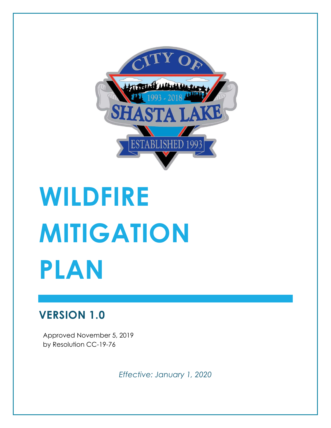

# **WILDFIRE MITIGATION PLAN**

### **VERSION 1.0**

Approved November 5, 2019 by Resolution CC-19-76

*Effective: January 1, 2020*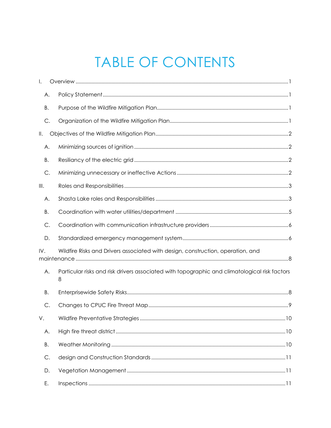## TABLE OF CONTENTS

| $\mathsf{L}$                                                                           |         |                                                                                               |
|----------------------------------------------------------------------------------------|---------|-----------------------------------------------------------------------------------------------|
|                                                                                        | Α.      |                                                                                               |
| Β.                                                                                     |         |                                                                                               |
|                                                                                        | C.      |                                                                                               |
| $\parallel$ .                                                                          |         |                                                                                               |
|                                                                                        | Α.      |                                                                                               |
| Β.                                                                                     |         |                                                                                               |
|                                                                                        | С.      |                                                                                               |
| III.                                                                                   |         |                                                                                               |
|                                                                                        | Α.      |                                                                                               |
| В.                                                                                     |         |                                                                                               |
|                                                                                        | С.      |                                                                                               |
|                                                                                        | D.      |                                                                                               |
| Wildfire Risks and Drivers associated with design, construction, operation, and<br>IV. |         |                                                                                               |
|                                                                                        | Α.<br>8 | Particular risks and risk drivers associated with topographic and climatological risk factors |
| <b>B.</b>                                                                              |         |                                                                                               |
|                                                                                        | С.      |                                                                                               |
| V.                                                                                     |         |                                                                                               |
|                                                                                        | Α.      |                                                                                               |
| Β.                                                                                     |         |                                                                                               |
|                                                                                        | С.      |                                                                                               |
|                                                                                        | D.      |                                                                                               |
| Ε.                                                                                     |         |                                                                                               |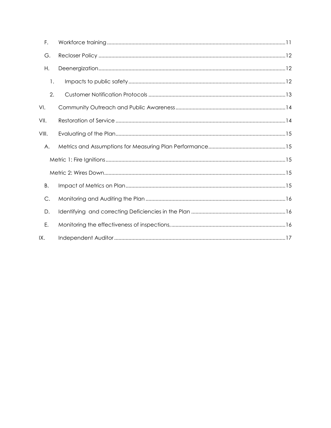| F.        |  |
|-----------|--|
| G.        |  |
| Η.        |  |
| 1.        |  |
| 2.        |  |
| VI.       |  |
| VII.      |  |
| VIII.     |  |
| А.        |  |
|           |  |
|           |  |
| <b>B.</b> |  |
| C.        |  |
| D.        |  |
| Е.        |  |
| IX.       |  |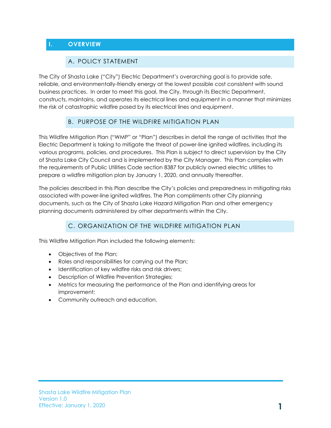#### <span id="page-3-1"></span><span id="page-3-0"></span>**I. OVERVIEW**

#### A. POLICY STATEMENT

The City of Shasta Lake ("City") Electric Department's overarching goal is to provide safe, reliable, and environmentally-friendly energy at the lowest possible cost consistent with sound business practices. In order to meet this goal, the City, through its Electric Department, constructs, maintains, and operates its electrical lines and equipment in a manner that minimizes the risk of catastrophic wildfire posed by its electrical lines and equipment.

#### B. PURPOSE OF THE WILDFIRE MITIGATION PLAN

<span id="page-3-2"></span>This Wildfire Mitigation Plan ("WMP" or "Plan") describes in detail the range of activities that the Electric Department is taking to mitigate the threat of power-line ignited wildfires, including its various programs, policies, and procedures. This Plan is subject to direct supervision by the City of Shasta Lake City Council and is implemented by the City Manager. This Plan complies with the requirements of Public Utilities Code section 8387 for publicly owned electric utilities to prepare a wildfire mitigation plan by January 1, 2020, and annually thereafter.

The policies described in this Plan describe the City's policies and preparedness in mitigating risks associated with power-line ignited wildfires. The Plan compliments other City planning documents, such as the City of Shasta Lake Hazard Mitigation Plan and other emergency planning documents administered by other departments within the City.

#### C. ORGANIZATION OF THE WILDFIRE MITIGATION PLAN

<span id="page-3-3"></span>This Wildfire Mitigation Plan included the following elements:

- Objectives of the Plan;
- Roles and responsibilities for carrying out the Plan;
- Identification of key wildfire risks and risk drivers;
- Description of Wildfire Prevention Strategies;
- Metrics for measuring the performance of the Plan and identifying areas for improvement;
- Community outreach and education.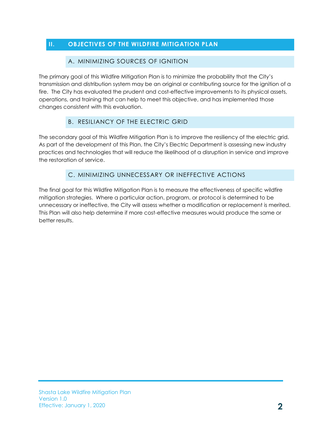#### <span id="page-4-1"></span><span id="page-4-0"></span>**II. OBJECTIVES OF THE WILDFIRE MITIGATION PLAN**

#### A. MINIMIZING SOURCES OF IGNITION

The primary goal of this Wildfire Mitigation Plan is to minimize the probability that the City's transmission and distribution system may be an original or contributing source for the ignition of a fire. The City has evaluated the prudent and cost-effective improvements to its physical assets, operations, and training that can help to meet this objective, and has implemented those changes consistent with this evaluation.

#### B. RESILIANCY OF THE ELECTRIC GRID

<span id="page-4-2"></span>The secondary goal of this Wildfire Mitigation Plan is to improve the resiliency of the electric grid. As part of the development of this Plan, the City's Electric Department is assessing new industry practices and technologies that will reduce the likelihood of a disruption in service and improve the restoration of service.

#### C. MINIMIZING UNNECESSARY OR INEFFECTIVE ACTIONS

<span id="page-4-3"></span>The final goal for this Wildfire Mitigation Plan is to measure the effectiveness of specific wildfire mitigation strategies. Where a particular action, program, or protocol is determined to be unnecessary or ineffective, the City will assess whether a modification or replacement is merited. This Plan will also help determine if more cost-effective measures would produce the same or better results.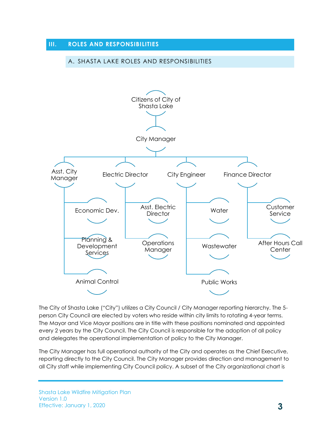#### <span id="page-5-1"></span><span id="page-5-0"></span>**III. ROLES AND RESPONSIBILITIES**

#### A. SHASTA LAKE ROLES AND RESPONSIBILITIES



The City of Shasta Lake ("City") utilizes a City Council / City Manager reporting hierarchy. The 5 person City Council are elected by voters who reside within city limits to rotating 4-year terms. The Mayor and Vice Mayor positions are in title with these positions nominated and appointed every 2 years by the City Council. The City Council is responsible for the adoption of all policy and delegates the operational implementation of policy to the City Manager.

The City Manager has full operational authority of the City and operates as the Chief Executive, reporting directly to the City Council. The City Manager provides direction and management to all City staff while implementing City Council policy. A subset of the City organizational chart is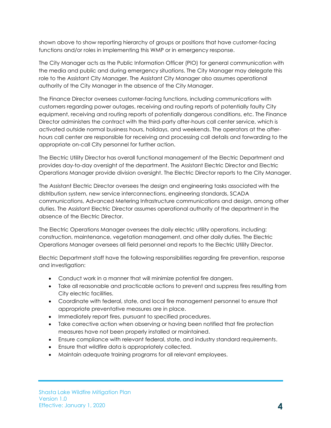shown above to show reporting hierarchy of groups or positions that have customer-facing functions and/or roles in implementing this WMP or in emergency response.

The City Manager acts as the Public Information Officer (PIO) for general communication with the media and public and during emergency situations. The City Manager may delegate this role to the Assistant City Manager. The Assistant City Manager also assumes operational authority of the City Manager in the absence of the City Manager.

The Finance Director oversees customer-facing functions, including communications with customers regarding power outages, receiving and routing reports of potentially faulty City equipment, receiving and routing reports of potentially dangerous conditions, etc. The Finance Director administers the contract with the third-party after-hours call center service, which is activated outside normal business hours, holidays, and weekends. The operators at the afterhours call center are responsible for receiving and processing call details and forwarding to the appropriate on-call City personnel for further action.

The Electric Utility Director has overall functional management of the Electric Department and provides day-to-day oversight of the department. The Assistant Electric Director and Electric Operations Manager provide division oversight. The Electric Director reports to the City Manager.

The Assistant Electric Director oversees the design and engineering tasks associated with the distribution system, new service interconnections, engineering standards, SCADA communications, Advanced Metering Infrastructure communications and design, among other duties. The Assistant Electric Director assumes operational authority of the department in the absence of the Electric Director.

The Electric Operations Manager oversees the daily electric utility operations, including: construction, maintenance, vegetation management, and other daily duties. The Electric Operations Manager oversees all field personnel and reports to the Electric Utility Director.

Electric Department staff have the following responsibilities regarding fire prevention, response and investigation:

- Conduct work in a manner that will minimize potential fire dangers.
- Take all reasonable and practicable actions to prevent and suppress fires resulting from City electric facilities.
- Coordinate with federal, state, and local fire management personnel to ensure that appropriate preventative measures are in place.
- Immediately report fires, pursuant to specified procedures.
- Take corrective action when observing or having been notified that fire protection measures have not been properly installed or maintained.
- Ensure compliance with relevant federal, state, and industry standard requirements.
- Ensure that wildfire data is appropriately collected.
- Maintain adequate training programs for all relevant employees.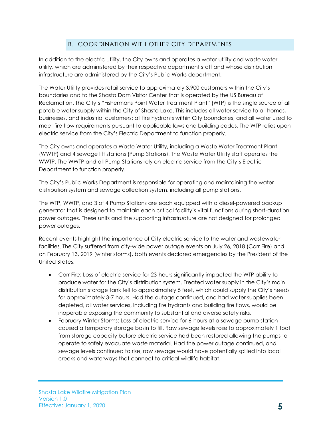#### B. COORDINATION WITH OTHER CITY DEPARTMENTS

<span id="page-7-0"></span>In addition to the electric utility, the City owns and operates a water utility and waste water utility, which are administered by their respective department staff and whose distribution infrastructure are administered by the City's Public Works department.

The Water Utility provides retail service to approximately 3,900 customers within the City's boundaries and to the Shasta Dam Visitor Center that is operated by the US Bureau of Reclamation. The City's "Fishermans Point Water Treatment Plant" (WTP) is the single source of all potable water supply within the City of Shasta Lake. This includes all water service to all homes, businesses, and industrial customers; all fire hydrants within City boundaries, and all water used to meet fire flow requirements pursuant to applicable laws and building codes. The WTP relies upon electric service from the City's Electric Department to function properly.

The City owns and operates a Waste Water Utility, including a Waste Water Treatment Plant (WWTP) and 4 sewage lift stations (Pump Stations). The Waste Water Utility staff operates the WWTP. The WWTP and all Pump Stations rely on electric service from the City's Electric Department to function properly.

The City's Public Works Department is responsible for operating and maintaining the water distribution system and sewage collection system, including all pump stations.

The WTP, WWTP, and 3 of 4 Pump Stations are each equipped with a diesel-powered backup generator that is designed to maintain each critical facility's vital functions during short-duration power outages. These units and the supporting infrastructure are not designed for prolonged power outages.

Recent events highlight the importance of City electric service to the water and wastewater facilities. The City suffered from city-wide power outage events on July 26, 2018 (Carr Fire) and on February 13, 2019 (winter storms), both events declared emergencies by the President of the United States.

- Carr Fire: Loss of electric service for 23-hours significantly impacted the WTP ability to produce water for the City's distribution system. Treated water supply in the City's main distribution storage tank fell to approximately 5 feet, which could supply the City's needs for approximately 3-7 hours. Had the outage continued, and had water supplies been depleted, all water services, including fire hydrants and building fire flows, would be inoperable exposing the community to substantial and diverse safety risks.
- February Winter Storms: Loss of electric service for 6-hours at a sewage pump station caused a temporary storage basin to fill. Raw sewage levels rose to approximately 1 foot from storage capacity before electric service had been restored allowing the pumps to operate to safely evacuate waste material. Had the power outage continued, and sewage levels continued to rise, raw sewage would have potentially spilled into local creeks and waterways that connect to critical wildlife habitat.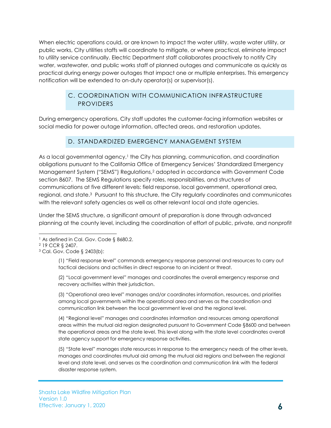When electric operations could, or are known to impact the water utility, waste water utility, or public works, City utilities staffs will coordinate to mitigate, or where practical, eliminate impact to utility service continually. Electric Department staff collaborates proactively to notify City water, wastewater, and public works staff of planned outages and communicate as quickly as practical during energy power outages that impact one or multiple enterprises. This emergency notification will be extended to on-duty operator(s) or supervisor(s).

#### C. COORDINATION WITH COMMUNICATION INFRASTRUCTURE PROVIDERS

<span id="page-8-0"></span>During emergency operations, City staff updates the customer-facing information websites or social media for power outage information, affected areas, and restoration updates.

#### D. STANDARDIZED EMERGENCY MANAGEMENT SYSTEM

<span id="page-8-1"></span>As a local governmental agency, <sup>1</sup> the City has planning, communication, and coordination obligations pursuant to the California Office of Emergency Services' Standardized Emergency Management System ("SEMS") Regulations,<sup>2</sup> adopted in accordance with Government Code section 8607. The SEMS Regulations specify roles, responsibilities, and structures of communications at five different levels: field response, local government, operational area, regional, and state.3 Pursuant to this structure, the City regularly coordinates and communicates with the relevant safety agencies as well as other relevant local and state agencies.

Under the SEMS structure, a significant amount of preparation is done through advanced planning at the county level, including the coordination of effort of public, private, and nonprofit

(1) "Field response level" commands emergency response personnel and resources to carry out tactical decisions and activities in direct response to an incident or threat.

(2) "Local government level" manages and coordinates the overall emergency response and recovery activities within their jurisdiction.

(3) "Operational area level" manages and/or coordinates information, resources, and priorities among local governments within the operational area and serves as the coordination and communication link between the local government level and the regional level.

(4) "Regional level" manages and coordinates information and resources among operational areas within the mutual aid region designated pursuant to Government Code §8600 and between the operational areas and the state level. This level along with the state level coordinates overall state agency support for emergency response activities.

(5) "State level" manages state resources in response to the emergency needs of the other levels, manages and coordinates mutual aid among the mutual aid regions and between the regional level and state level, and serves as the coordination and communication link with the federal disaster response system.

l <sup>1</sup> As defined in Cal. Gov. Code § 8680.2.

<sup>2</sup> 19 CCR § 2407.

<sup>3</sup> Cal. Gov. Code § 2403(b):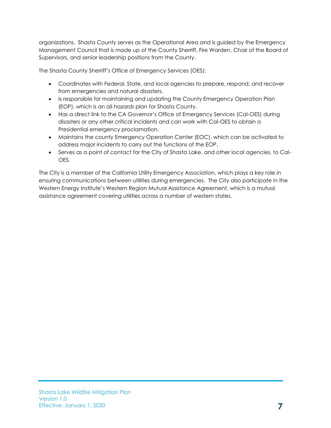organizations. Shasta County serves as the Operational Area and is guided by the Emergency Management Council that is made up of the County Sherriff, Fire Warden, Chair of the Board of Supervisors, and senior leadership positions from the County.

The Shasta County Sherriff's Office of Emergency Services (OES):

- Coordinates with Federal, State, and local agencies to prepare, respond, and recover from emergencies and natural disasters.
- Is responsible for maintaining and updating the County Emergency Operation Plan (EOP), which is an all hazards plan for Shasta County.
- Has a direct link to the CA Governor's Office of Emergency Services (Cal-OES) during disasters or any other critical incidents and can work with Cal-OES to obtain a Presidential emergency proclamation.
- Maintains the county Emergency Operation Center (EOC), which can be activated to address major incidents to carry out the functions of the EOP.
- Serves as a point of contact for the City of Shasta Lake, and other local agencies, to Cal-OES.

The City is a member of the California Utility Emergency Association, which plays a key role in ensuring communications between utilities during emergencies. The City also participate in the Western Energy Institute's Western Region Mutual Assistance Agreement, which is a mutual assistance agreement covering utilities across a number of western states.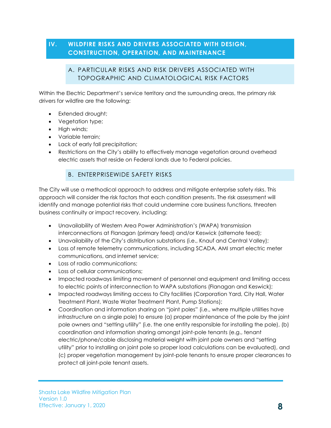#### <span id="page-10-1"></span><span id="page-10-0"></span>**IV. WILDFIRE RISKS AND DRIVERS ASSOCIATED WITH DESIGN, CONSTRUCTION, OPERATION, AND MAINTENANCE**

#### A. PARTICULAR RISKS AND RISK DRIVERS ASSOCIATED WITH TOPOGRAPHIC AND CLIMATOLOGICAL RISK FACTORS

Within the Electric Department's service territory and the surrounding areas, the primary risk drivers for wildfire are the following:

- Extended drought;
- Vegetation type;
- High winds;
- Variable terrain;
- Lack of early fall precipitation;
- Restrictions on the City's ability to effectively manage vegetation around overhead electric assets that reside on Federal lands due to Federal policies.

#### B. ENTERPRISEWIDE SAFETY RISKS

<span id="page-10-2"></span>The City will use a methodical approach to address and mitigate enterprise safety risks. This approach will consider the risk factors that each condition presents. The risk assessment will identify and manage potential risks that could undermine core business functions, threaten business continuity or impact recovery, including:

- Unavailability of Western Area Power Administration's (WAPA) transmission interconnections at Flanagan (primary feed) and/or Keswick (alternate feed);
- Unavailability of the City's distribution substations (i.e., Knauf and Central Valley);
- Loss of remote telemetry communications, including SCADA, AMI smart electric meter communications, and internet service;
- Loss of radio communications;
- Loss of cellular communications;
- Impacted roadways limiting movement of personnel and equipment and limiting access to electric points of interconnection to WAPA substations (Flanagan and Keswick);
- Impacted roadways limiting access to City facilities (Corporation Yard, City Hall, Water Treatment Plant, Waste Water Treatment Plant, Pump Stations);
- Coordination and information sharing on "joint poles" (i.e., where multiple utilities have infrastructure on a single pole) to ensure (a) proper maintenance of the pole by the joint pole owners and "setting utility" (i.e. the one entity responsible for installing the pole), (b) coordination and information sharing amongst joint-pole tenants (e.g., tenant electric/phone/cable disclosing material weight with joint pole owners and "setting utility" prior to installing on joint pole so proper load calculations can be evaluated), and (c) proper vegetation management by joint-pole tenants to ensure proper clearances to protect all joint-pole tenant assets.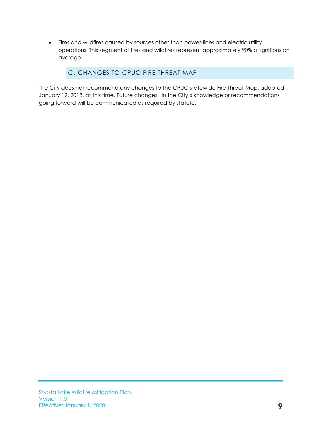• Fires and wildfires caused by sources other than power-lines and electric utility operations. This segment of fires and wildfires represent approximately 90% of ignitions on average.

#### C. CHANGES TO CPUC FIRE THREAT MAP

<span id="page-11-0"></span>The City does not recommend any changes to the CPUC statewide Fire Threat Map, adopted January 19, 2018, at this time. Future changes in the City's knowledge or recommendations going forward will be communicated as required by statute.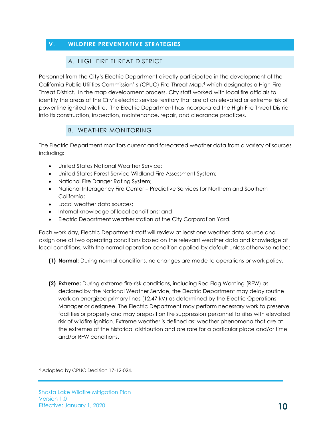#### <span id="page-12-1"></span><span id="page-12-0"></span>**V. WILDFIRE PREVENTATIVE STRATEGIES**

#### A. HIGH FIRE THREAT DISTRICT

Personnel from the City's Electric Department directly participated in the development of the California Public Utilities Commission' s (CPUC) Fire-Threat Map,<sup>4</sup> which designates a High-Fire Threat District. In the map development process, City staff worked with local fire officials to identify the areas of the City's electric service territory that are at an elevated or extreme risk of power line ignited wildfire. The Electric Department has incorporated the High Fire Threat District into its construction, inspection, maintenance, repair, and clearance practices.

#### B. WEATHER MONITORING

<span id="page-12-2"></span>The Electric Department monitors current and forecasted weather data from a variety of sources including:

- United States National Weather Service;
- United States Forest Service Wildland Fire Assessment System;
- National Fire Danger Rating System;
- National Interagency Fire Center Predictive Services for Northern and Southern California;
- Local weather data sources:
- Internal knowledge of local conditions; and
- Electric Department weather station at the City Corporation Yard.

Each work day, Electric Department staff will review at least one weather data source and assign one of two operating conditions based on the relevant weather data and knowledge of local conditions, with the normal operation condition applied by default unless otherwise noted:

- **(1) Normal:** During normal conditions, no changes are made to operations or work policy.
- **(2) Extreme:** During extreme fire-risk conditions, including Red Flag Warning (RFW) as declared by the National Weather Service, the Electric Department may delay routine work on energized primary lines (12.47 kV) as determined by the Electric Operations Manager or designee. The Electric Department may perform necessary work to preserve facilities or property and may preposition fire suppression personnel to sites with elevated risk of wildfire ignition. Extreme weather is defined as: weather phenomena that are at the extremes of the historical distribution and are rare for a particular place and/or time and/or RFW conditions.

l <sup>4</sup> Adopted by CPUC Decision 17-12-024.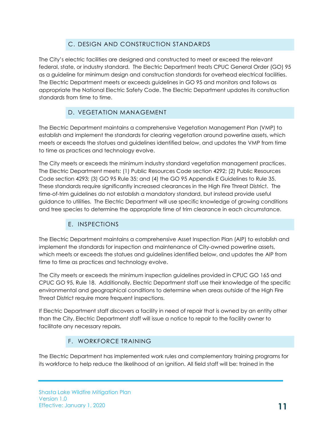#### C. DESIGN AND CONSTRUCTION STANDARDS

<span id="page-13-0"></span>The City's electric facilities are designed and constructed to meet or exceed the relevant federal, state, or industry standard. The Electric Department treats CPUC General Order (GO) 95 as a guideline for minimum design and construction standards for overhead electrical facilities. The Electric Department meets or exceeds guidelines in GO 95 and monitors and follows as appropriate the National Electric Safety Code. The Electric Department updates its construction standards from time to time.

#### D. VEGETATION MANAGEMENT

<span id="page-13-1"></span>The Electric Department maintains a comprehensive Vegetation Management Plan (VMP) to establish and implement the standards for clearing vegetation around powerline assets, which meets or exceeds the statues and guidelines identified below, and updates the VMP from time to time as practices and technology evolve.

The City meets or exceeds the minimum industry standard vegetation management practices. The Electric Department meets: (1) Public Resources Code section 4292; (2) Public Resources Code section 4293; (3) GO 95 Rule 35; and (4) the GO 95 Appendix E Guidelines to Rule 35. These standards require significantly increased clearances in the High Fire Threat District. The time-of-trim guidelines do not establish a mandatory standard, but instead provide useful guidance to utilities. The Electric Department will use specific knowledge of growing conditions and tree species to determine the appropriate time of trim clearance in each circumstance.

#### E. INSPECTIONS

<span id="page-13-2"></span>The Electric Department maintains a comprehensive Asset Inspection Plan (AIP) to establish and implement the standards for inspection and maintenance of City-owned powerline assets, which meets or exceeds the statues and guidelines identified below, and updates the AIP from time to time as practices and technology evolve.

The City meets or exceeds the minimum inspection guidelines provided in CPUC GO 165 and CPUC GO 95, Rule 18. Additionally, Electric Department staff use their knowledge of the specific environmental and geographical conditions to determine when areas outside of the High Fire Threat District require more frequent inspections.

If Electric Department staff discovers a facility in need of repair that is owned by an entity other than the City, Electric Department staff will issue a notice to repair to the facility owner to facilitate any necessary repairs.

#### F. WORKFORCE TRAINING

<span id="page-13-3"></span>The Electric Department has implemented work rules and complementary training programs for its workforce to help reduce the likelihood of an ignition. All field staff will be: trained in the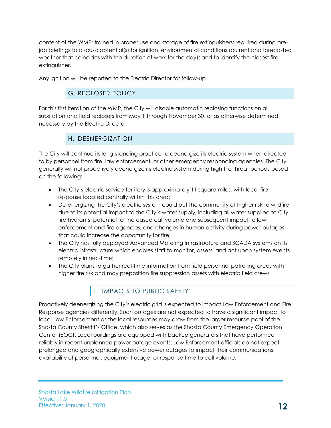content of the WMP; trained in proper use and storage of fire extinguishers; required during prejob briefings to discuss: potential(s) for ignition, environmental conditions (current and forecasted weather that coincides with the duration of work for the day); and to identify the closest fire extinguisher.

<span id="page-14-0"></span>Any ignition will be reported to the Electric Director for follow-up.

#### G. RECLOSER POLICY

For this first iteration of the WMP, the City will disable automatic reclosing functions on all substation and field reclosers from May 1 through November 30, or as otherwise determined necessary by the Electric Director.

#### H. DEENERGIZATION

<span id="page-14-1"></span>The City will continue its long-standing practice to deenergize its electric system when directed to by personnel from fire, law enforcement, or other emergency responding agencies. The City generally will not proactively deenergize its electric system during high fire threat periods based on the following:

- The City's electric service territory is approximately 11 square miles, with local fire response located centrally within this area;
- De-energizing the City's electric system could put the community at higher risk to wildfire due to its potential impact to the City's water supply, including all water supplied to City fire hydrants, potential for increased call volume and subsequent impact to law enforcement and fire agencies, and changes in human activity during power outages that could increase the opportunity for fire;
- The City has fully deployed Advanced Metering Infrastructure and SCADA systems on its electric infrastructure which enables staff to monitor, assess, and act upon system events remotely in real-time;
- The City plans to gather real-time information from field personnel patrolling areas with higher fire risk and may preposition fire suppression assets with electric field crews

#### 1. IMPACTS TO PUBLIC SAFETY

<span id="page-14-2"></span>Proactively deenergizing the City's electric grid is expected to impact Law Enforcement and Fire Response agencies differently. Such outages are not expected to have a significant impact to local Law Enforcement as the local resources may draw from the larger resource pool of the Shasta County Sherriff's Office, which also serves as the Shasta County Emergency Operation Center (EOC). Local buildings are equipped with backup generators that have performed reliably in recent unplanned power outage events. Law Enforcement officials do not expect prolonged and geographically extensive power outages to impact their communications, availability of personnel, equipment usage, or response time to call volume.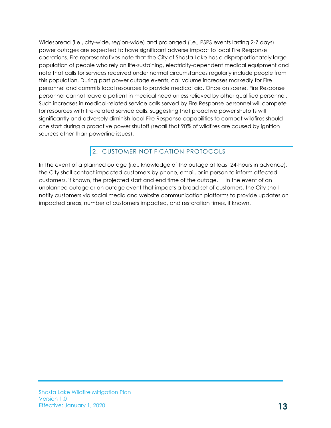Widespread (i.e., city-wide, region-wide) and prolonged (i.e., PSPS events lasting 2-7 days) power outages are expected to have significant adverse impact to local Fire Response operations. Fire representatives note that the City of Shasta Lake has a disproportionately large population of people who rely on life-sustaining, electricity-dependent medical equipment and note that calls for services received under normal circumstances regularly include people from this population. During past power outage events, call volume increases markedly for Fire personnel and commits local resources to provide medical aid. Once on scene, Fire Response personnel cannot leave a patient in medical need unless relieved by other qualified personnel. Such increases in medical-related service calls served by Fire Response personnel will compete for resources with fire-related service calls, suggesting that proactive power shutoffs will significantly and adversely diminish local Fire Response capabilities to combat wildfires should one start during a proactive power shutoff (recall that 90% of wildfires are caused by ignition sources other than powerline issues).

#### 2. CUSTOMER NOTIFICATION PROTOCOLS

<span id="page-15-0"></span>In the event of a planned outage (i.e., knowledge of the outage at least 24-hours in advance), the City shall contact impacted customers by phone, email, or in person to inform affected customers, if known, the projected start and end time of the outage. In the event of an unplanned outage or an outage event that impacts a broad set of customers, the City shall notify customers via social media and website communication platforms to provide updates on impacted areas, number of customers impacted, and restoration times, if known.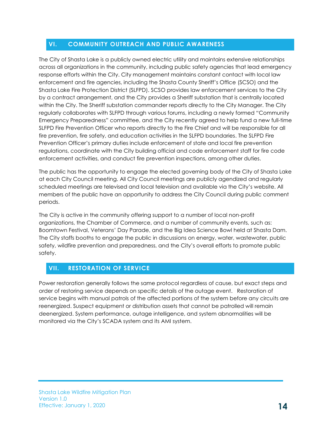#### <span id="page-16-0"></span>**VI. COMMUNITY OUTREACH AND PUBLIC AWARENESS**

The City of Shasta Lake is a publicly owned electric utility and maintains extensive relationships across all organizations in the community, including public safety agencies that lead emergency response efforts within the City. City management maintains constant contact with local law enforcement and fire agencies, including the Shasta County Sheriff's Office (SCSO) and the Shasta Lake Fire Protection District (SLFPD). SCSO provides law enforcement services to the City by a contract arrangement, and the City provides a Sheriff substation that is centrally located within the City. The Sheriff substation commander reports directly to the City Manager. The City regularly collaborates with SLFPD through various forums, including a newly formed "Community Emergency Preparedness" committee, and the City recently agreed to help fund a new full-time SLFPD Fire Prevention Officer who reports directly to the Fire Chief and will be responsible for all fire prevention, fire safety, and education activities in the SLFPD boundaries. The SLFPD Fire Prevention Officer's primary duties include enforcement of state and local fire prevention regulations, coordinate with the City building official and code enforcement staff for fire code enforcement activities, and conduct fire prevention inspections, among other duties.

The public has the opportunity to engage the elected governing body of the City of Shasta Lake at each City Council meeting. All City Council meetings are publicly agendized and regularly scheduled meetings are televised and local television and available via the City's website. All members of the public have an opportunity to address the City Council during public comment periods.

The City is active in the community offering support to a number of local non-profit organizations, the Chamber of Commerce, and a number of community events, such as: Boomtown Festival, Veterans' Day Parade, and the Big Idea Science Bowl held at Shasta Dam. The City staffs booths to engage the public in discussions on energy, water, wastewater, public safety, wildfire prevention and preparedness, and the City's overall efforts to promote public safety.

#### <span id="page-16-1"></span>**VII. RESTORATION OF SERVICE**

Power restoration generally follows the same protocol regardless of cause, but exact steps and order of restoring service depends on specific details of the outage event. Restoration of service begins with manual patrols of the affected portions of the system before any circuits are reenergized. Suspect equipment or distribution assets that cannot be patrolled will remain deenergized. System performance, outage intelligence, and system abnormalities will be monitored via the City's SCADA system and its AMI system.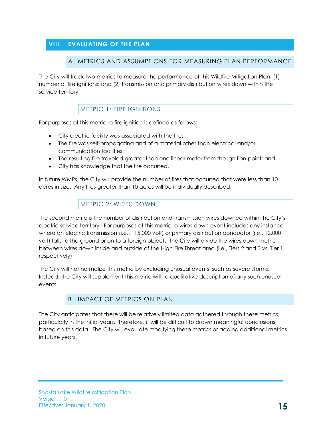#### <span id="page-17-1"></span><span id="page-17-0"></span>**VIII. EVALUATING OF THE PLAN**

#### A. METRICS AND ASSUMPTIONS FOR MEASURING PLAN PERFORMANCE

The City will track two metrics to measure the performance of this Wildfire Mitigation Plan: (1) number of fire ignitions; and (2) transmission and primary distribution wires down within the service territory.

#### METRIC 1: FIRE IGNITIONS

<span id="page-17-2"></span>For purposes of this metric, a fire ignition is defined as follows:

- City electric facility was associated with the fire;
- The fire was self-propagating and of a material other than electrical and/or communication facilities;
- The resulting fire traveled greater than one linear meter from the ignition point; and
- City has knowledge that the fire occurred.

In future WMPs, the City will provide the number of fires that occurred that were less than 10 acres in size. Any fires greater than 10 acres will be individually described.

#### METRIC 2: WIRES DOWN

<span id="page-17-3"></span>The second metric is the number of distribution and transmission wires downed within the City's electric service territory. For purposes of this metric, a wires down event includes any instance where an electric transmission (i.e., 115,000 volt) or primary distribution conductor (i.e., 12,000 volt) falls to the ground or on to a foreign object. The City will divide the wires down metric between wires down inside and outside of the High Fire Threat area (i.e., Tiers 2 and 3 vs. Tier 1, respectively).

The City will not normalize this metric by excluding unusual events, such as severe storms. Instead, the City will supplement this metric with a qualitative description of any such unusual events.

#### B. IMPACT OF METRICS ON PLAN

<span id="page-17-4"></span>The City anticipates that there will be relatively limited data gathered through these metrics, particularly in the initial years. Therefore, it will be difficult to drawn meaningful conclusions based on this data. The City will evaluate modifying these metrics or adding additional metrics in future years.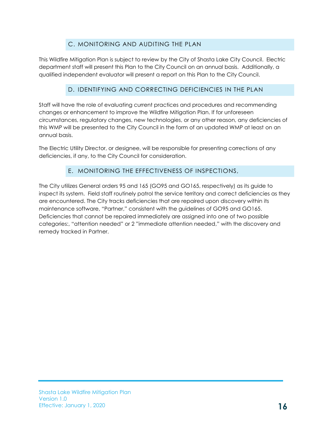#### C. MONITORING AND AUDITING THE PLAN

<span id="page-18-0"></span>This Wildfire Mitigation Plan is subject to review by the City of Shasta Lake City Council. Electric department staff will present this Plan to the City Council on an annual basis. Additionally, a qualified independent evaluator will present a report on this Plan to the City Council.

#### D. IDENTIFYING AND CORRECTING DEFICIENCIES IN THE PLAN

<span id="page-18-1"></span>Staff will have the role of evaluating current practices and procedures and recommending changes or enhancement to improve the Wildfire Mitigation Plan. If for unforeseen circumstances, regulatory changes, new technologies, or any other reason, any deficiencies of this WMP will be presented to the City Council in the form of an updated WMP at least on an annual basis.

The Electric Utility Director, or designee, will be responsible for presenting corrections of any deficiencies, if any, to the City Council for consideration.

#### E. MONITORING THE EFFECTIVENESS OF INSPECTIONS,

<span id="page-18-2"></span>The City utilizes General orders 95 and 165 (GO95 and GO165, respectively) as its guide to inspect its system. Field staff routinely patrol the service territory and correct deficiencies as they are encountered. The City tracks deficiencies that are repaired upon discovery within its maintenance software, "Partner," consistent with the guidelines of GO95 and GO165. Deficiencies that cannot be repaired immediately are assigned into one of two possible categories:, "attention needed" or 2 "immediate attention needed," with the discovery and remedy tracked in Partner.